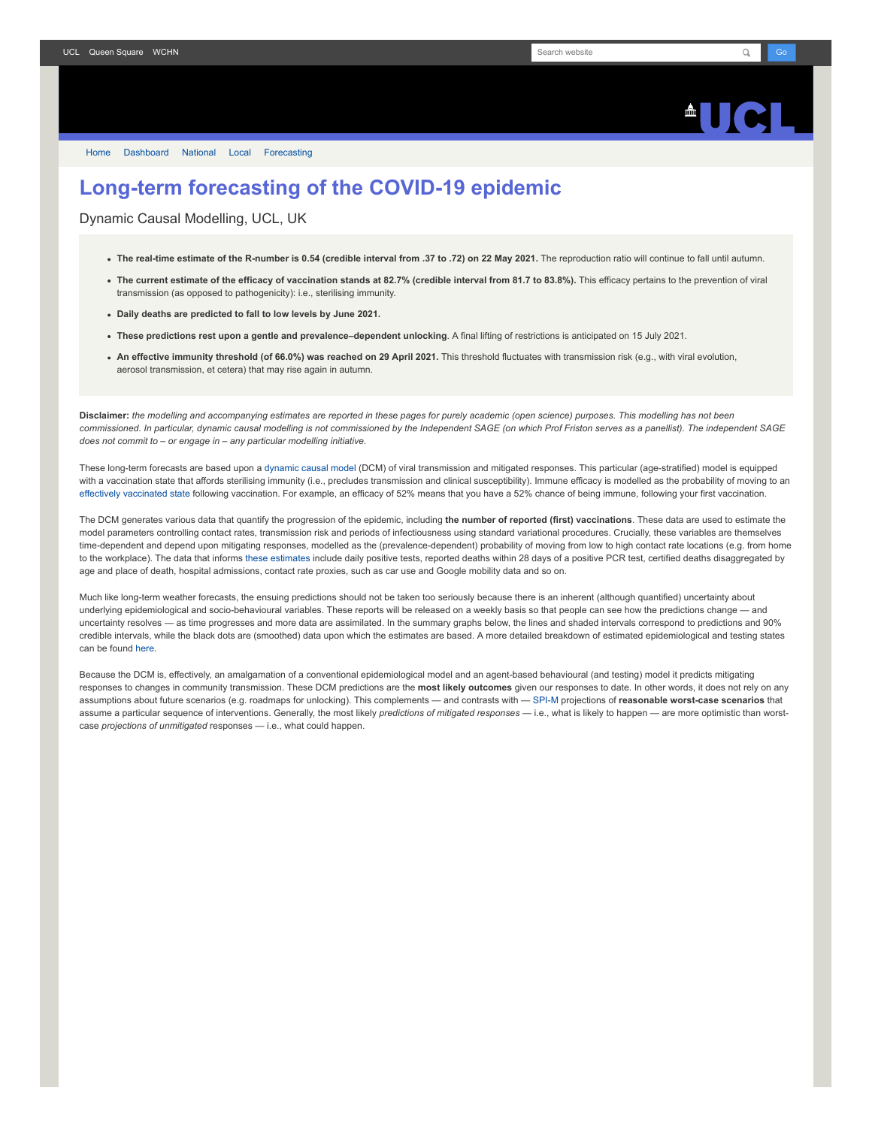## $\triangle$ ll $\triangle$

[Home](https://www.fil.ion.ucl.ac.uk/spm/covid-19/) [Dashboard](https://www.fil.ion.ucl.ac.uk/spm/covid-19/dashboard/) [National](https://www.fil.ion.ucl.ac.uk/spm/covid-19/dashboard/) [Local](https://www.fil.ion.ucl.ac.uk/spm/covid-19/dashboard/local/) [Forecasting](https://www.fil.ion.ucl.ac.uk/spm/covid-19/forecasting/)

## **Long-term forecasting of the COVID-19 epidemic**

Dynamic Causal Modelling, UCL, UK

- **The real-time estimate of the R-number is 0.54 (credible interval from .37 to .72) on 22 May 2021.** The reproduction ratio will continue to fall until autumn.
- **The current estimate of the efficacy of vaccination stands at 82.7% (credible interval from 81.7 to 83.8%).** This efficacy pertains to the prevention of viral transmission (as opposed to pathogenicity): i.e., sterilising immunity.
- **Daily deaths are predicted to fall to low levels by June 2021.**
- **These predictions rest upon a gentle and prevalence–dependent unlocking**. A final lifting of restrictions is anticipated on 15 July 2021.
- **An effective immunity threshold (of 66.0%) was reached on 29 April 2021.** This threshold fluctuates with transmission risk (e.g., with viral evolution, aerosol transmission, et cetera) that may rise again in autumn.

**Disclaimer:** *the modelling and accompanying estimates are reported in these pages for purely academic (open science) purposes. This modelling has not been commissioned. In particular, dynamic causal modelling is not commissioned by the Independent SAGE (on which Prof Friston serves as a panellist). The independent SAGE does not commit to – or engage in – any particular modelling initiative.*

These long-term forecasts are based upon a [dynamic causal model](https://www.fil.ion.ucl.ac.uk/spm/covid-19) (DCM) of viral transmission and mitigated responses. This particular (age-stratified) model is equipped with a vaccination state that affords sterilising immunity (i.e., precludes transmission and clinical susceptibility). Immune efficacy is modelled as the probability of moving to an [effectively vaccinated state](https://www.medrxiv.org/content/10.1101/2021.01.10.21249520v1) following vaccination. For example, an efficacy of 52% means that you have a 52% chance of being immune, following your first vaccination.

The DCM generates various data that quantify the progression of the epidemic, including **the number of reported (first) vaccinations**. These data are used to estimate the model parameters controlling contact rates, transmission risk and periods of infectiousness using standard variational procedures. Crucially, these variables are themselves time-dependent and depend upon mitigating responses, modelled as the (prevalence-dependent) probability of moving from low to high contact rate locations (e.g. from home to the workplace). The data that informs [these estimates](https://www.fil.ion.ucl.ac.uk/spm/covid-19/dashboard/) include daily positive tests, reported deaths within 28 days of a positive PCR test, certified deaths disaggregated by age and place of death, hospital admissions, contact rate proxies, such as car use and Google mobility data and so on.

Much like long-term weather forecasts, the ensuing predictions should not be taken too seriously because there is an inherent (although quantified) uncertainty about underlying epidemiological and socio-behavioural variables. These reports will be released on a weekly basis so that people can see how the predictions change — and uncertainty resolves — as time progresses and more data are assimilated. In the summary graphs below, the lines and shaded intervals correspond to predictions and 90% credible intervals, while the black dots are (smoothed) data upon which the estimates are based. A more detailed breakdown of estimated epidemiological and testing states can be found [here](https://www.fil.ion.ucl.ac.uk/spm/covid-19/dashboard/).

Because the DCM is, effectively, an amalgamation of a conventional epidemiological model and an agent-based behavioural (and testing) model it predicts mitigating responses to changes in community transmission. These DCM predictions are the **most likely outcomes** given our responses to date. In other words, it does not rely on any assumptions about future scenarios (e.g. roadmaps for unlocking). This complements — and contrasts with — [SPI-M](https://www.gov.uk/government/groups/scientific-pandemic-influenza-subgroup-on-modelling) projections of reasonable worst-case scenarios that assume a particular sequence of interventions. Generally, the most likely *predictions of mitigated responses* — i.e., what is likely to happen — are more optimistic than worstcase *projections of unmitigated* responses — i.e., what could happen.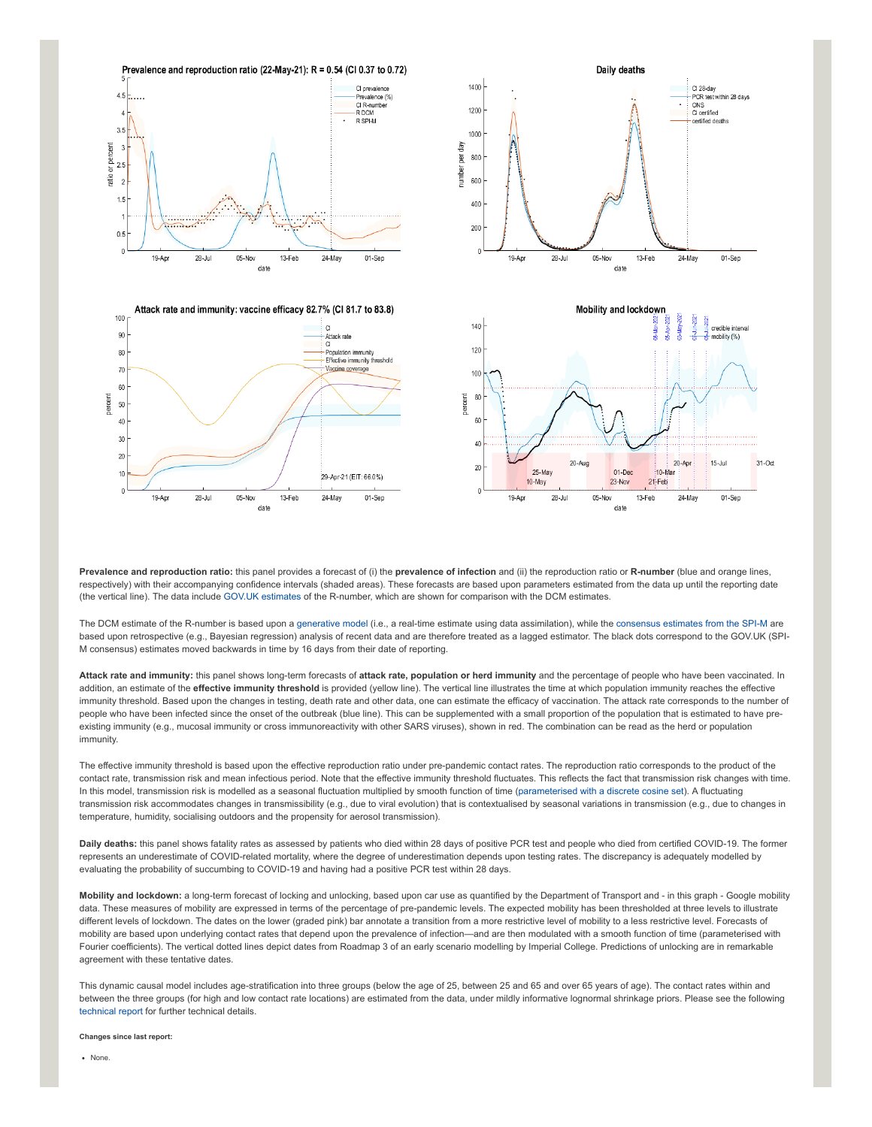

**Prevalence and reproduction ratio:** this panel provides a forecast of (i) the **prevalence of infection** and (ii) the reproduction ratio or **R-number** (blue and orange lines, respectively) with their accompanying confidence intervals (shaded areas). These forecasts are based upon parameters estimated from the data up until the reporting date (the vertical line). The data include [GOV.UK estimates](https://www.gov.uk/guidance/the-r-number-in-the-uk#latest-r-and-growth-rate) of the R-number, which are shown for comparison with the DCM estimates.

The DCM estimate of the R-number is based upon a [generative model](https://en.wikipedia.org/wiki/Generative_model) (i.e., a real-time estimate using data assimilation), while the [consensus estimates from the SPI-M](https://www.gov.uk/guidance/the-r-number-in-the-uk#contents) are based upon retrospective (e.g., Bayesian regression) analysis of recent data and are therefore treated as a lagged estimator. The black dots correspond to the GOV.UK (SPI-M consensus) estimates moved backwards in time by 16 days from their date of reporting.

**Attack rate and immunity:** this panel shows long-term forecasts of **attack rate, population or herd immunity** and the percentage of people who have been vaccinated. In addition, an estimate of the **effective immunity threshold** is provided (yellow line). The vertical line illustrates the time at which population immunity reaches the effective immunity threshold. Based upon the changes in testing, death rate and other data, one can estimate the efficacy of vaccination. The attack rate corresponds to the number of people who have been infected since the onset of the outbreak (blue line). This can be supplemented with a small proportion of the population that is estimated to have preexisting immunity (e.g., mucosal immunity or cross immunoreactivity with other SARS viruses), shown in red. The combination can be read as the herd or population immunity.

The effective immunity threshold is based upon the effective reproduction ratio under pre-pandemic contact rates. The reproduction ratio corresponds to the product of the contact rate, transmission risk and mean infectious period. Note that the effective immunity threshold fluctuates. This reflects the fact that transmission risk changes with time. In this model, transmission risk is modelled as a seasonal fluctuation multiplied by smooth function of time ([parameterised with a discrete cosine set](https://www.medrxiv.org/content/10.1101/2021.01.10.21249520v1)). A fluctuating transmission risk accommodates changes in transmissibility (e.g., due to viral evolution) that is contextualised by seasonal variations in transmission (e.g., due to changes in temperature, humidity, socialising outdoors and the propensity for aerosol transmission).

**Daily deaths:** this panel shows fatality rates as assessed by patients who died within 28 days of positive PCR test and people who died from certified COVID-19. The former represents an underestimate of COVID-related mortality, where the degree of underestimation depends upon testing rates. The discrepancy is adequately modelled by evaluating the probability of succumbing to COVID-19 and having had a positive PCR test within 28 days.

**Mobility and lockdown:** a long-term forecast of locking and unlocking, based upon car use as quantified by the Department of Transport and - in this graph - Google mobility data. These measures of mobility are expressed in terms of the percentage of pre-pandemic levels. The expected mobility has been thresholded at three levels to illustrate different levels of lockdown. The dates on the lower (graded pink) bar annotate a transition from a more restrictive level of mobility to a less restrictive level. Forecasts of mobility are based upon underlying contact rates that depend upon the prevalence of infection—and are then modulated with a smooth function of time (parameterised with Fourier coefficients). The vertical dotted lines depict dates from Roadmap 3 of an early scenario modelling by Imperial College. Predictions of unlocking are in remarkable agreement with these tentative dates.

This dynamic causal model includes age-stratification into three groups (below the age of 25, between 25 and 65 and over 65 years of age). The contact rates within and between the three groups (for high and low contact rate locations) are estimated from the data, under mildly informative lognormal shrinkage priors. Please see the following [technical report](https://arxiv.org/abs/2011.12400) for further technical details.

**Changes since last report:**

None.